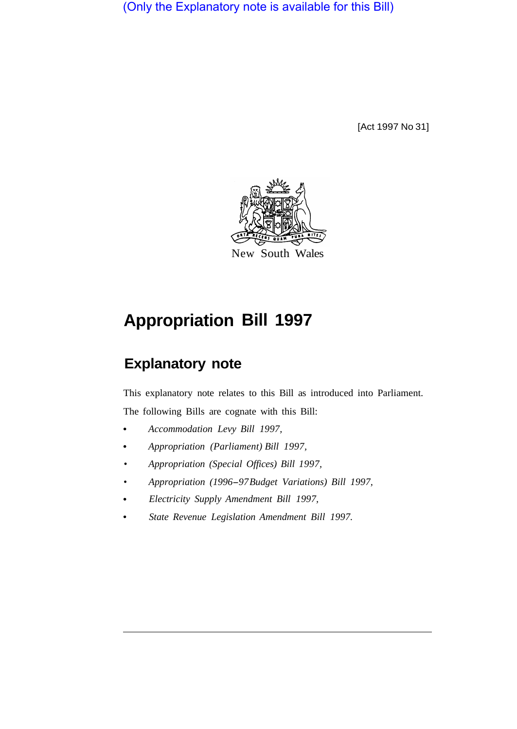(Only the Explanatory note is available for this Bill)

[Act 1997 No 31]



# **Appropriation Bill 1997**

## **Explanatory note**

This explanatory note relates to this Bill as introduced into Parliament. The following Bills are cognate with this Bill:

*Accommodation Levy Bill 1997,* 

- *Appropriation (Parliament) Bill 1997,*   $\bullet$
- *Appropriation (Special Offices) Bill 1997,*
- *Appropriation (1996-97 Budget Variations) Bill 1997,*
- *Electricity Supply Amendment Bill 1997,*
- *State Revenue Legislation Amendment Bill 1997.*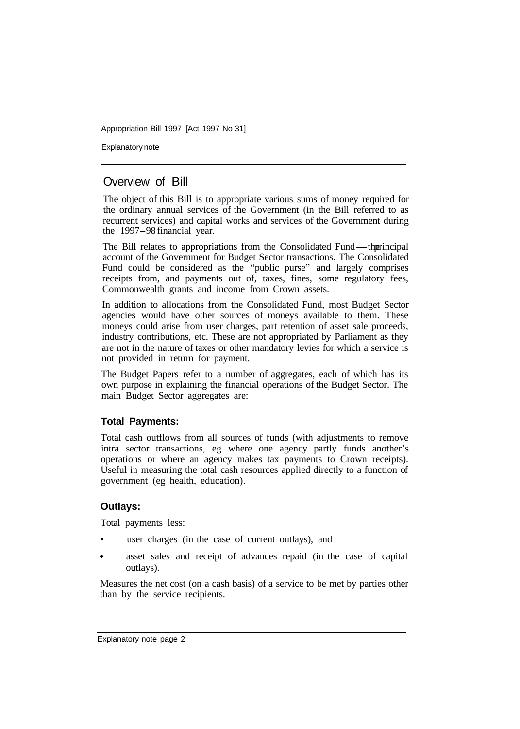Explanatory note

## Overview of Bill

The object of this Bill is to appropriate various sums of money required for the ordinary annual services of the Government (in the Bill referred to as recurrent services) and capital works and services of the Government during the 1997-98 financial year.

The Bill relates to appropriations from the Consolidated Fund—the rincipal account of the Government for Budget Sector transactions. The Consolidated Fund could be considered as the "public purse" and largely comprises receipts from, and payments out of, taxes, fines, some regulatory fees, Commonwealth grants and income from Crown assets.

In addition to allocations from the Consolidated Fund, most Budget Sector agencies would have other sources of moneys available to them. These moneys could arise from user charges, part retention of asset sale proceeds, industry contributions, etc. These are not appropriated by Parliament as they are not in the nature of taxes or other mandatory levies for which a service is not provided in return for payment.

The Budget Papers refer to a number of aggregates, each of which has its own purpose in explaining the financial operations of the Budget Sector. The main Budget Sector aggregates are:

#### **Total Payments:**

Total cash outflows from all sources of funds (with adjustments to remove intra sector transactions, eg where one agency partly funds another's operations or where an agency makes tax payments to Crown receipts). Useful in measuring the total cash resources applied directly to a function of government (eg health, education).

#### **Outlays:**

Total payments less:

- user charges (in the case of current outlays), and
- asset sales and receipt of advances repaid (in the case of capital outlays).

Measures the net cost (on a cash basis) of a service to be met by parties other than by the service recipients.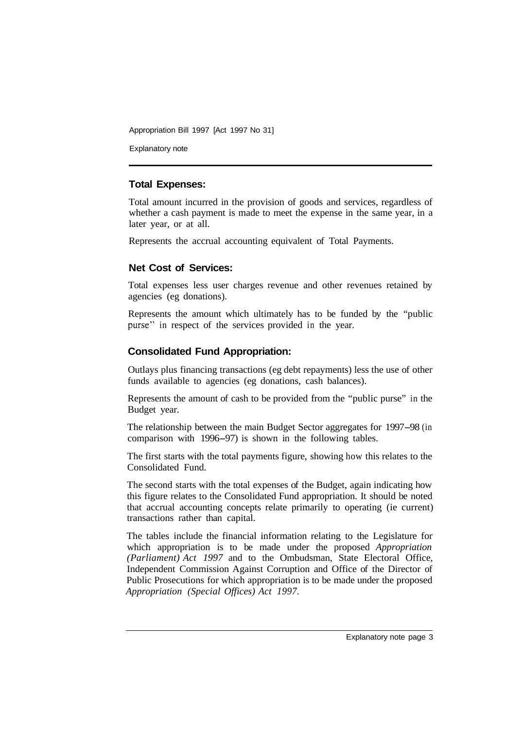Explanatory note

#### **Total Expenses:**

Total amount incurred in the provision of goods and services, regardless of whether a cash payment is made to meet the expense in the same year, in a later year, or at all.

Represents the accrual accounting equivalent of Total Payments.

#### **Net Cost of Services:**

Total expenses less user charges revenue and other revenues retained by agencies (eg donations).

Represents the amount which ultimately has to be funded by the "public purse" in respect of the services provided in the year.

#### **Consolidated Fund Appropriation:**

Outlays plus financing transactions (eg debt repayments) less the use of other funds available to agencies (eg donations, cash balances).

Represents the amount of cash to be provided from the "public purse" in the Budget year.

The relationship between the main Budget Sector aggregates for 1997-98 (in comparison with 1996-97) is shown in the following tables.

The first starts with the total payments figure, showing how this relates to the Consolidated Fund.

The second starts with the total expenses of the Budget, again indicating how this figure relates to the Consolidated Fund appropriation. It should be noted that accrual accounting concepts relate primarily to operating (ie current) transactions rather than capital.

The tables include the financial information relating to the Legislature for which appropriation is to be made under the proposed *Appropriation (Parliament) Act 1997* and to the Ombudsman, State Electoral Office, Independent Commission Against Corruption and Office of the Director of Public Prosecutions for which appropriation is to be made under the proposed *Appropriation (Special Offices) Act 1997.*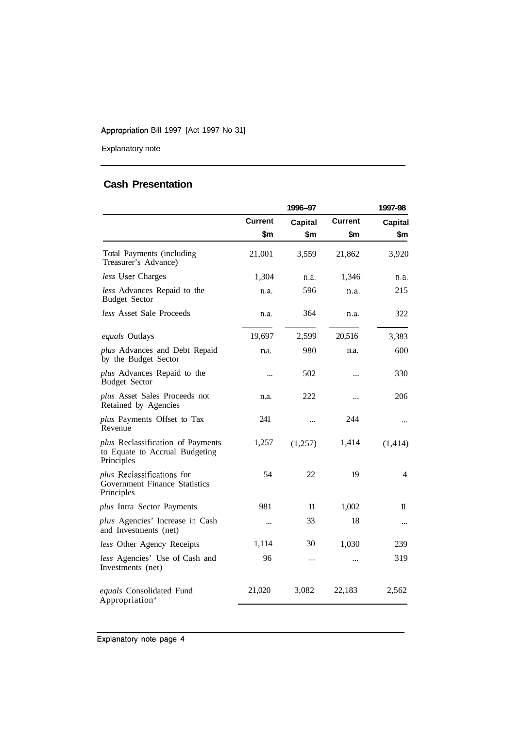Explanatory note

### **Cash Presentation**

|                                                                                   | 1996-97               |                |                | 1997-98               |
|-----------------------------------------------------------------------------------|-----------------------|----------------|----------------|-----------------------|
|                                                                                   | <b>Current</b><br>\$m | Capital<br>\$m | Current<br>\$m | <b>Capital</b><br>\$m |
|                                                                                   |                       |                |                |                       |
| Total Payments (including<br>Treasurer's Advance)                                 | 21,001                | 3,559          | 21,862         | 3,920                 |
| less User Charges                                                                 | 1,304                 | n.a.           | 1,346          | n.a.                  |
| less Advances Repaid to the<br><b>Budget Sector</b>                               | n.a.                  | 596            | n.a.           | 215                   |
| less Asset Sale Proceeds                                                          | n.a.                  | 364            | n.a.           | 322                   |
| equals Outlays                                                                    | 19,697                | 2,599          | 20,516         | 3,383                 |
| plus Advances and Debt Repaid<br>by the Budget Sector                             | n.a.                  | 980            | n.a.           | 600                   |
| plus Advances Repaid to the<br><b>Budget Sector</b>                               |                       | 502            |                | 330                   |
| plus Asset Sales Proceeds not<br>Retained by Agencies                             | n.a.                  | 222            |                | 206                   |
| plus Payments Offset to Tax<br>Revenue                                            | 241                   |                | 244            | $\cdots$              |
| plus Reclassification of Payments<br>to Equate to Accrual Budgeting<br>Principles | 1,257                 | (1,257)        | 1,414          | (1, 414)              |
| plus Reclassifications for<br>Government Finance Statistics<br>Principles         | 54                    | 22             | 19             | 4                     |
| plus Intra Sector Payments                                                        | 981                   | 11             | 1,002          | 11                    |
| plus Agencies' Increase in Cash<br>and Investments (net)                          |                       | 33             | 18             |                       |
| less Other Agency Receipts                                                        | 1,114                 | 30             | 1,030          | 239                   |
| less Agencies' Use of Cash and<br>Investments (net)                               | 96                    | $\ddotsc$      | $\ddotsc$      | 319                   |
| equals Consolidated Fund<br>Appropriation <sup>a</sup>                            | 21,020                | 3,082          | 22,183         | 2,562                 |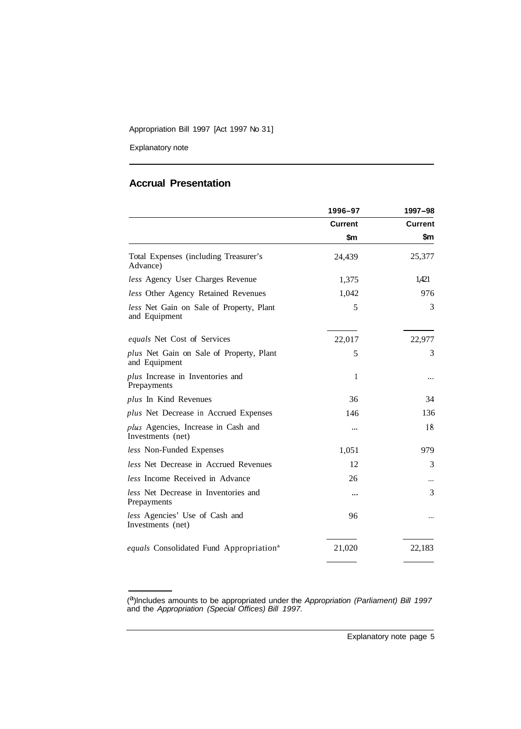Explanatory note

#### **Accrual Presentation**

|                                                           | 1996-97        | 1997-98        |
|-----------------------------------------------------------|----------------|----------------|
|                                                           | <b>Current</b> | <b>Current</b> |
|                                                           | \$m            | \$m            |
| Total Expenses (including Treasurer's<br>Advance)         | 24,439         | 25,377         |
| less Agency User Charges Revenue                          | 1,375          | 1,421          |
| less Other Agency Retained Revenues                       | 1,042          | 976            |
| less Net Gain on Sale of Property, Plant<br>and Equipment | 5              | 3              |
| <i>equals</i> Net Cost of Services                        | 22,017         | 22,977         |
| plus Net Gain on Sale of Property, Plant<br>and Equipment | 5              | 3              |
| plus Increase in Inventories and<br>Prepayments           | 1              |                |
| plus In Kind Revenues                                     | 36             | 34             |
| plus Net Decrease in Accrued Expenses                     | 146            | 136            |
| plus Agencies, Increase in Cash and<br>Investments (net)  |                | 18             |
| less Non-Funded Expenses                                  | 1,051          | 979            |
| less Net Decrease in Accrued Revenues                     | 12             | 3              |
| less Income Received in Advance                           | 26             |                |
| less Net Decrease in Inventories and<br>Prepayments       |                | 3              |
| less Agencies' Use of Cash and<br>Investments (net)       | 96             |                |
| equals Consolidated Fund Appropriation <sup>a</sup>       | 21,020         | 22,183         |

<sup>(</sup> a)lncludes amounts to be appropriated under the *Appropriation (Parliament) Bill 1997*  and the *Appropriation (Special Offices) Bill 1997.*